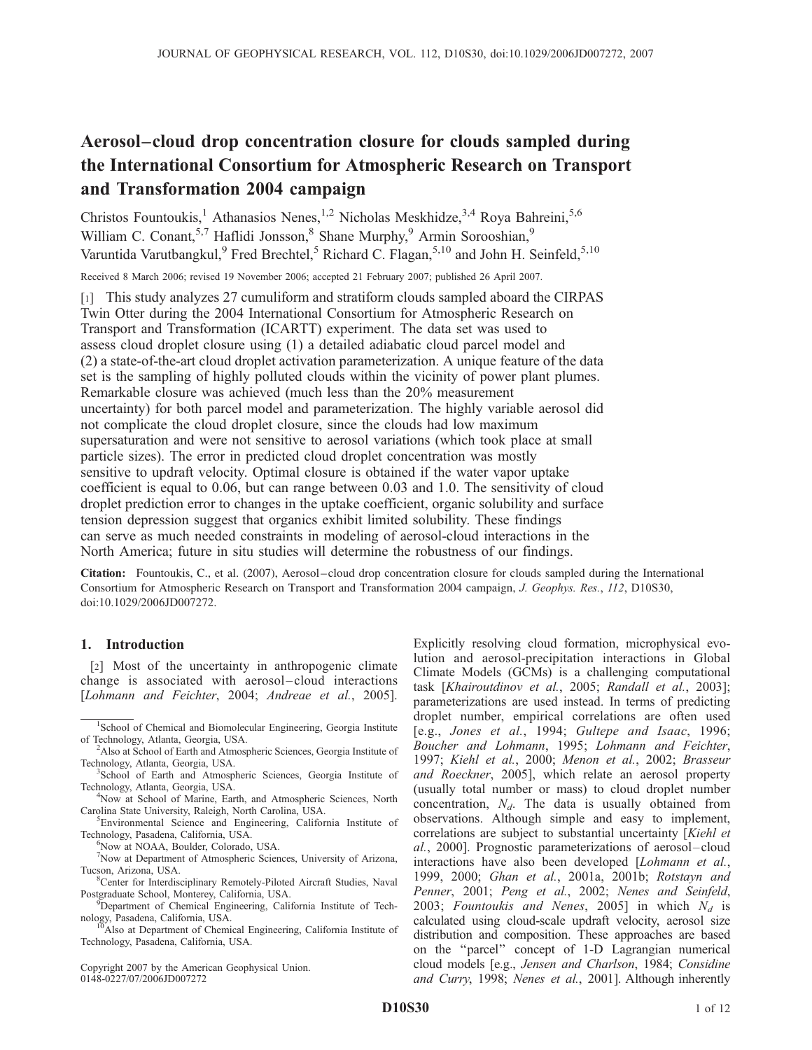# Aerosol–cloud drop concentration closure for clouds sampled during the International Consortium for Atmospheric Research on Transport and Transformation 2004 campaign

Christos Fountoukis,<sup>1</sup> Athanasios Nenes,<sup>1,2</sup> Nicholas Meskhidze,<sup>3,4</sup> Roya Bahreini,<sup>5,6</sup> William C. Conant,  $5.7$  Haflidi Jonsson,  $8$  Shane Murphy,  $9$  Armin Sorooshian,  $9$ Varuntida Varutbangkul,<sup>9</sup> Fred Brechtel,<sup>5</sup> Richard C. Flagan,<sup>5,10</sup> and John H. Seinfeld,<sup>5,10</sup>

Received 8 March 2006; revised 19 November 2006; accepted 21 February 2007; published 26 April 2007.

[1] This study analyzes 27 cumuliform and stratiform clouds sampled aboard the CIRPAS Twin Otter during the 2004 International Consortium for Atmospheric Research on Transport and Transformation (ICARTT) experiment. The data set was used to assess cloud droplet closure using (1) a detailed adiabatic cloud parcel model and (2) a state-of-the-art cloud droplet activation parameterization. A unique feature of the data set is the sampling of highly polluted clouds within the vicinity of power plant plumes. Remarkable closure was achieved (much less than the 20% measurement uncertainty) for both parcel model and parameterization. The highly variable aerosol did not complicate the cloud droplet closure, since the clouds had low maximum supersaturation and were not sensitive to aerosol variations (which took place at small particle sizes). The error in predicted cloud droplet concentration was mostly sensitive to updraft velocity. Optimal closure is obtained if the water vapor uptake coefficient is equal to 0.06, but can range between 0.03 and 1.0. The sensitivity of cloud droplet prediction error to changes in the uptake coefficient, organic solubility and surface tension depression suggest that organics exhibit limited solubility. These findings can serve as much needed constraints in modeling of aerosol-cloud interactions in the North America; future in situ studies will determine the robustness of our findings.

Citation: Fountoukis, C., et al. (2007), Aerosol–cloud drop concentration closure for clouds sampled during the International Consortium for Atmospheric Research on Transport and Transformation 2004 campaign, J. Geophys. Res., 112, D10S30, doi:10.1029/2006JD007272.

# 1. Introduction

[2] Most of the uncertainty in anthropogenic climate change is associated with aerosol –cloud interactions [Lohmann and Feichter, 2004; Andreae et al., 2005].

Now at NOAA, Boulder, Colorado, USA.

7 Now at Department of Atmospheric Sciences, University of Arizona, Tucson, Arizona, USA. <sup>8</sup>

<sup>8</sup>Center for Interdisciplinary Remotely-Piloted Aircraft Studies, Naval Postgraduate School, Monterey, California, USA. <sup>9</sup>

Technology, Pasadena, California, USA.

Copyright 2007 by the American Geophysical Union. 0148-0227/07/2006JD007272

Explicitly resolving cloud formation, microphysical evolution and aerosol-precipitation interactions in Global Climate Models (GCMs) is a challenging computational task [Khairoutdinov et al., 2005; Randall et al., 2003]; parameterizations are used instead. In terms of predicting droplet number, empirical correlations are often used [e.g., Jones et al., 1994; Gultepe and Isaac, 1996; Boucher and Lohmann, 1995; Lohmann and Feichter, 1997; Kiehl et al., 2000; Menon et al., 2002; Brasseur and Roeckner, 2005], which relate an aerosol property (usually total number or mass) to cloud droplet number concentration,  $N_d$ . The data is usually obtained from observations. Although simple and easy to implement, correlations are subject to substantial uncertainty [Kiehl et al., 2000]. Prognostic parameterizations of aerosol –cloud interactions have also been developed [Lohmann et al., 1999, 2000; Ghan et al., 2001a, 2001b; Rotstayn and Penner, 2001; Peng et al., 2002; Nenes and Seinfeld, 2003; Fountoukis and Nenes, 2005] in which  $N_d$  is calculated using cloud-scale updraft velocity, aerosol size distribution and composition. These approaches are based on the ''parcel'' concept of 1-D Lagrangian numerical cloud models [e.g., Jensen and Charlson, 1984; Considine and Curry, 1998; Nenes et al., 2001]. Although inherently

<sup>&</sup>lt;sup>1</sup>School of Chemical and Biomolecular Engineering, Georgia Institute of Technology, Atlanta, Georgia, USA. <sup>2</sup>

<sup>&</sup>lt;sup>2</sup>Also at School of Earth and Atmospheric Sciences, Georgia Institute of Technology, Atlanta, Georgia, USA. <sup>3</sup>

<sup>&</sup>lt;sup>3</sup>School of Earth and Atmospheric Sciences, Georgia Institute of Technology, Atlanta, Georgia, USA. <sup>4</sup>

<sup>&</sup>lt;sup>4</sup>Now at School of Marine, Earth, and Atmospheric Sciences, North Carolina State University, Raleigh, North Carolina, USA. <sup>5</sup>

<sup>&</sup>lt;sup>5</sup>Environmental Science and Engineering, California Institute of Technology, Pasadena, California, USA. <sup>6</sup>

<sup>&</sup>lt;sup>9</sup>Department of Chemical Engineering, California Institute of Technology, Pasadena, California, USA.<br><sup>10</sup>Also at Department of Chemical Engineering, California Institute of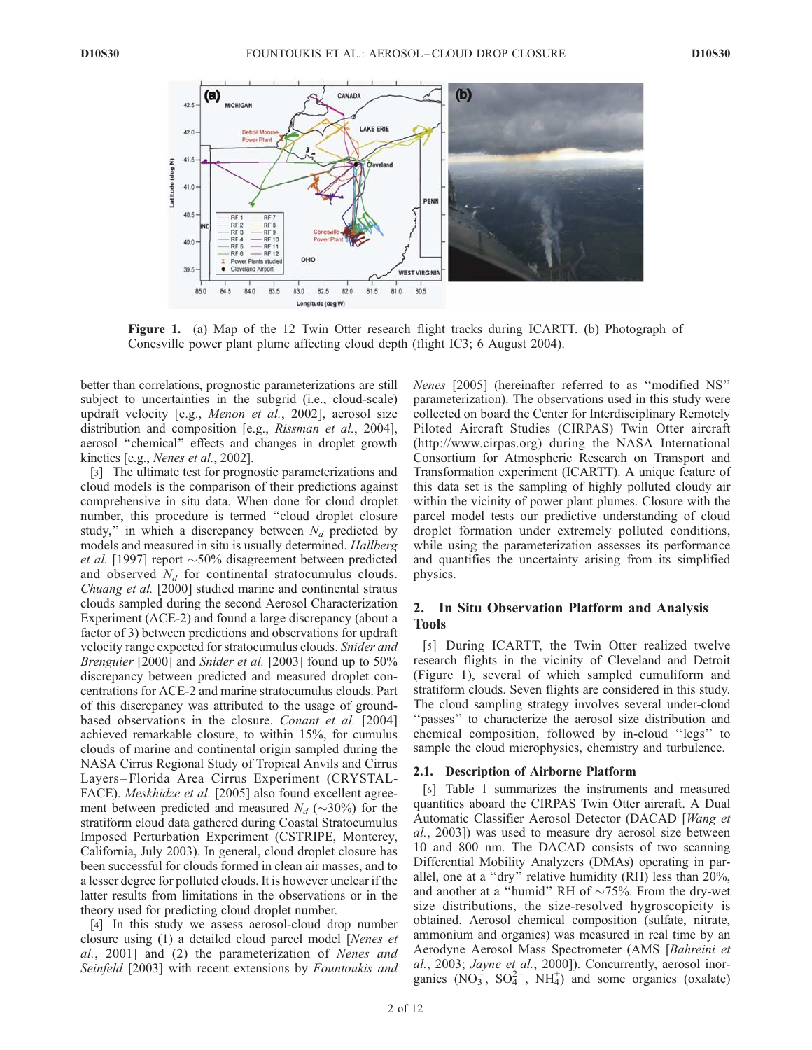

Figure 1. (a) Map of the 12 Twin Otter research flight tracks during ICARTT. (b) Photograph of Conesville power plant plume affecting cloud depth (flight IC3; 6 August 2004).

better than correlations, prognostic parameterizations are still subject to uncertainties in the subgrid (i.e., cloud-scale) updraft velocity [e.g., Menon et al., 2002], aerosol size distribution and composition [e.g., Rissman et al., 2004], aerosol ''chemical'' effects and changes in droplet growth kinetics [e.g., Nenes et al., 2002].

[3] The ultimate test for prognostic parameterizations and cloud models is the comparison of their predictions against comprehensive in situ data. When done for cloud droplet number, this procedure is termed ''cloud droplet closure study," in which a discrepancy between  $N_d$  predicted by models and measured in situ is usually determined. Hallberg et al. [1997] report  $\sim$  50% disagreement between predicted and observed  $N_d$  for continental stratocumulus clouds. Chuang et al. [2000] studied marine and continental stratus clouds sampled during the second Aerosol Characterization Experiment (ACE-2) and found a large discrepancy (about a factor of 3) between predictions and observations for updraft velocity range expected for stratocumulus clouds. Snider and Brenguier [2000] and Snider et al. [2003] found up to 50% discrepancy between predicted and measured droplet concentrations for ACE-2 and marine stratocumulus clouds. Part of this discrepancy was attributed to the usage of groundbased observations in the closure. Conant et al. [2004] achieved remarkable closure, to within 15%, for cumulus clouds of marine and continental origin sampled during the NASA Cirrus Regional Study of Tropical Anvils and Cirrus Layers – Florida Area Cirrus Experiment (CRYSTAL-FACE). Meskhidze et al. [2005] also found excellent agreement between predicted and measured  $N_d$  ( $\sim$ 30%) for the stratiform cloud data gathered during Coastal Stratocumulus Imposed Perturbation Experiment (CSTRIPE, Monterey, California, July 2003). In general, cloud droplet closure has been successful for clouds formed in clean air masses, and to a lesser degree for polluted clouds. It is however unclear if the latter results from limitations in the observations or in the theory used for predicting cloud droplet number.

[4] In this study we assess aerosol-cloud drop number closure using (1) a detailed cloud parcel model [Nenes et al., 2001] and (2) the parameterization of Nenes and Seinfeld [2003] with recent extensions by Fountoukis and Nenes [2005] (hereinafter referred to as ''modified NS'' parameterization). The observations used in this study were collected on board the Center for Interdisciplinary Remotely Piloted Aircraft Studies (CIRPAS) Twin Otter aircraft (http://www.cirpas.org) during the NASA International Consortium for Atmospheric Research on Transport and Transformation experiment (ICARTT). A unique feature of this data set is the sampling of highly polluted cloudy air within the vicinity of power plant plumes. Closure with the parcel model tests our predictive understanding of cloud droplet formation under extremely polluted conditions, while using the parameterization assesses its performance and quantifies the uncertainty arising from its simplified physics.

# 2. In Situ Observation Platform and Analysis Tools

[5] During ICARTT, the Twin Otter realized twelve research flights in the vicinity of Cleveland and Detroit (Figure 1), several of which sampled cumuliform and stratiform clouds. Seven flights are considered in this study. The cloud sampling strategy involves several under-cloud "passes" to characterize the aerosol size distribution and chemical composition, followed by in-cloud ''legs'' to sample the cloud microphysics, chemistry and turbulence.

#### 2.1. Description of Airborne Platform

[6] Table 1 summarizes the instruments and measured quantities aboard the CIRPAS Twin Otter aircraft. A Dual Automatic Classifier Aerosol Detector (DACAD [Wang et al., 2003]) was used to measure dry aerosol size between 10 and 800 nm. The DACAD consists of two scanning Differential Mobility Analyzers (DMAs) operating in parallel, one at a ''dry'' relative humidity (RH) less than 20%, and another at a "humid" RH of  $\sim$ 75%. From the dry-wet size distributions, the size-resolved hygroscopicity is obtained. Aerosol chemical composition (sulfate, nitrate, ammonium and organics) was measured in real time by an Aerodyne Aerosol Mass Spectrometer (AMS [Bahreini et al., 2003; Jayne et al., 2000]). Concurrently, aerosol inorganics  $(NO_3^-, SO_4^{2-}, NH_4^+)$  and some organics (oxalate)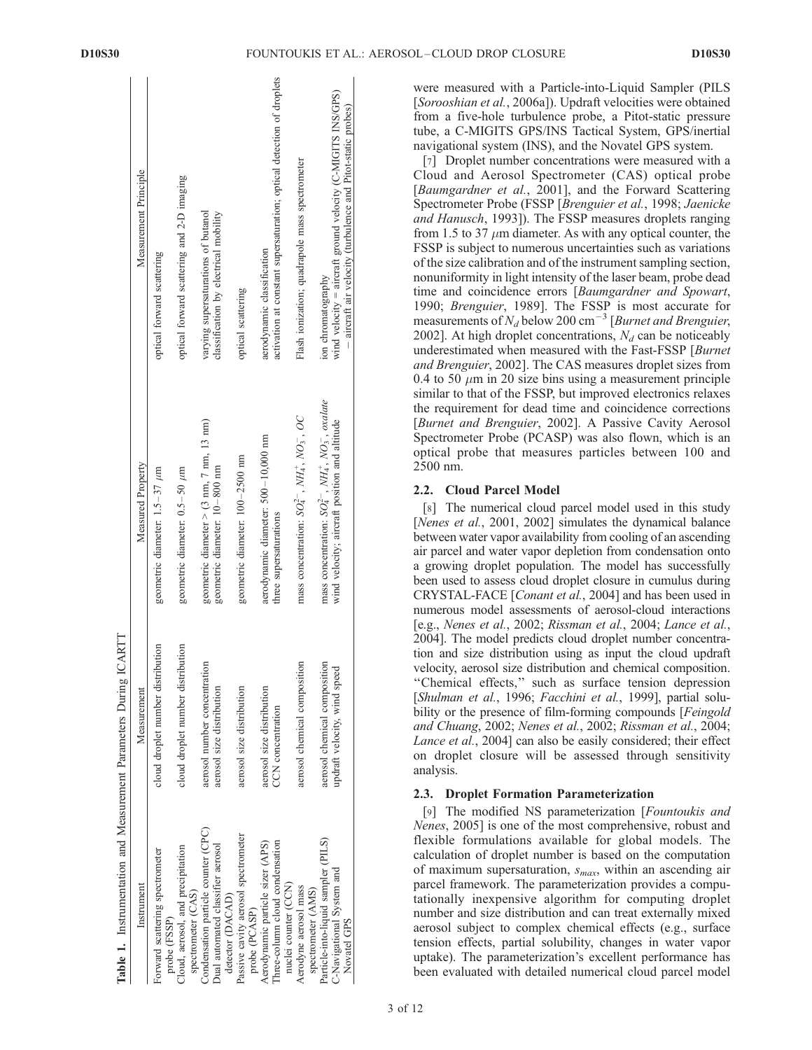$1 - 1$ 

 $\mathbf{I}$ 

|                                                                                              | Table 1. Instrumentation and Measurement Parameters During ICARTT |                                                                                                                  |                                                                                                                                                    |
|----------------------------------------------------------------------------------------------|-------------------------------------------------------------------|------------------------------------------------------------------------------------------------------------------|----------------------------------------------------------------------------------------------------------------------------------------------------|
| Instrument                                                                                   | Measurement                                                       | Measured Property                                                                                                | Measurement Principle                                                                                                                              |
| Forward scattering spectrometer<br>probe (FSSP)                                              | cloud droplet number distribution                                 | geometric diameter: $1.5-37 \mu m$                                                                               | optical forward scattering                                                                                                                         |
| Cloud, aerosol, and precipitation<br>spectrometer (CAS)                                      | cloud droplet number distribution                                 | geometric diameter: $0.5-50 \mu m$                                                                               | optical forward scattering and 2-D imaging                                                                                                         |
| Condensation particle counter (CPC)<br>Dual automated classifier aerosol<br>detector (DACAD) | aerosol number concentration<br>aerosol size distribution         | geometric diameter $>$ (3 nm, 7 nm, 13 nm)<br>geometric diameter: 10-800 nm                                      | varying supersaturations of butanol<br>classification by electrical mobility                                                                       |
| Passive cavity aerosol spectrometer<br>probe (PCASP)                                         | aerosol size distribution                                         | geometric diameter: 100-2500 nm                                                                                  | optical scattering                                                                                                                                 |
| Three-column cloud condensation<br>Aerodynamic particle sizer (APS)                          | aerosol size distribution<br>CCN concentration                    | aerodynamic diameter: 500-10,000 nm<br>three supersaturations                                                    | activation at constant supersaturation; optical detection of droplets<br>aerodynamic classification                                                |
| nuclei counter (CCN)<br>Aerodyne aerosol mass<br>spectrometer (AMS)                          | aerosol chemical composition                                      | mass concentration: $SO_4^{2-}$ , $NH_4^+$ , $NO_3^-$ , $OC$                                                     | Flash ionization; quadrapole mass spectrometer                                                                                                     |
| Particle-into-liquid sampler (PILS)<br>C-Navigational System and<br>Novatel GPS              | aerosol chemical composition<br>updraft velocity, wind speed      | mass concentration: $SO_4^{2-}$ , $NH_4^+$ , $NO_3^-$ , oxalate<br>wind velocity; aircraft position and altitude | wind velocity = aircraft ground velocity $(C-MIGITS$ $NS/GPS)$<br>aircraft air velocity (turbulence and Pitot-static probes)<br>ion chromatography |
|                                                                                              |                                                                   |                                                                                                                  |                                                                                                                                                    |

 $\omega$ 

were measured with a Particle-into-Liquid Sampler (PILS [Sorooshian et al., 2006a]). Updraft velocities were obtained from a five-hole turbulence probe, a Pitot-static pressure tube, a C-MIGITS GPS/INS Tactical System, GPS/inertial navigational system (INS), and the Novatel GPS system.

[7] Droplet number concentrations were measured with a Cloud and Aerosol Spectrometer (CAS) optical probe [Baumgardner et al., 2001], and the Forward Scattering Spectrometer Probe (FSSP [Brenguier et al., 1998; Jaenicke and Hanusch, 1993]). The FSSP measures droplets ranging from 1.5 to 37  $\mu$ m diameter. As with any optical counter, the FSSP is subject to numerous uncertainties such as variations of the size calibration and of the instrument sampling section, nonuniformity in light intensity of the laser beam, probe dead time and coincidence errors [Baumgardner and Spowart, 1990; Brenguier, 1989]. The FSSP is most accurate for measurements of  $N_d$  below 200 cm<sup>-3</sup> [Burnet and Brenguier, 2002]. At high droplet concentrations,  $N_d$  can be noticeably underestimated when measured with the Fast-FSSP [Burnet and Brenguier, 2002]. The CAS measures droplet sizes from 0.4 to 50  $\mu$ m in 20 size bins using a measurement principle similar to that of the FSSP, but improved electronics relaxes the requirement for dead time and coincidence corrections [Burnet and Brenguier, 2002]. A Passive Cavity Aerosol Spectrometer Probe (PCASP) was also flown, which is an optical probe that measures particles between 100 and 2500 nm.

## 2.2. Cloud Parcel Model

[8] The numerical cloud parcel model used in this study [Nenes et al., 2001, 2002] simulates the dynamical balance between water vapor availability from cooling of an ascending air parcel and water vapor depletion from condensation onto a growing droplet population. The model has successfully been used to assess cloud droplet closure in cumulus during CRYSTAL-FACE [Conant et al., 2004] and has been used in numerous model assessments of aerosol-cloud interactions [e.g., Nenes et al., 2002; Rissman et al., 2004; Lance et al., 2004]. The model predicts cloud droplet number concentration and size distribution using as input the cloud updraft velocity, aerosol size distribution and chemical composition. ''Chemical effects,'' such as surface tension depression [Shulman et al., 1996; Facchini et al., 1999], partial solubility or the presence of film-forming compounds [*Feingold*] and Chuang, 2002; Nenes et al., 2002; Rissman et al., 2004; Lance et al., 2004] can also be easily considered; their effect on droplet closure will be assessed through sensitivity analysis.

# 2.3. Droplet Formation Parameterization

[9] The modified NS parameterization [Fountoukis and Nenes, 2005] is one of the most comprehensive, robust and flexible formulations available for global models. The calculation of droplet number is based on the computation of maximum supersaturation,  $s_{max}$ , within an ascending air parcel framework. The parameterization provides a computationally inexpensive algorithm for computing droplet number and size distribution and can treat externally mixed aerosol subject to complex chemical effects (e.g., surface tension effects, partial solubility, changes in water vapor uptake). The parameterization's excellent performance has been evaluated with detailed numerical cloud parcel model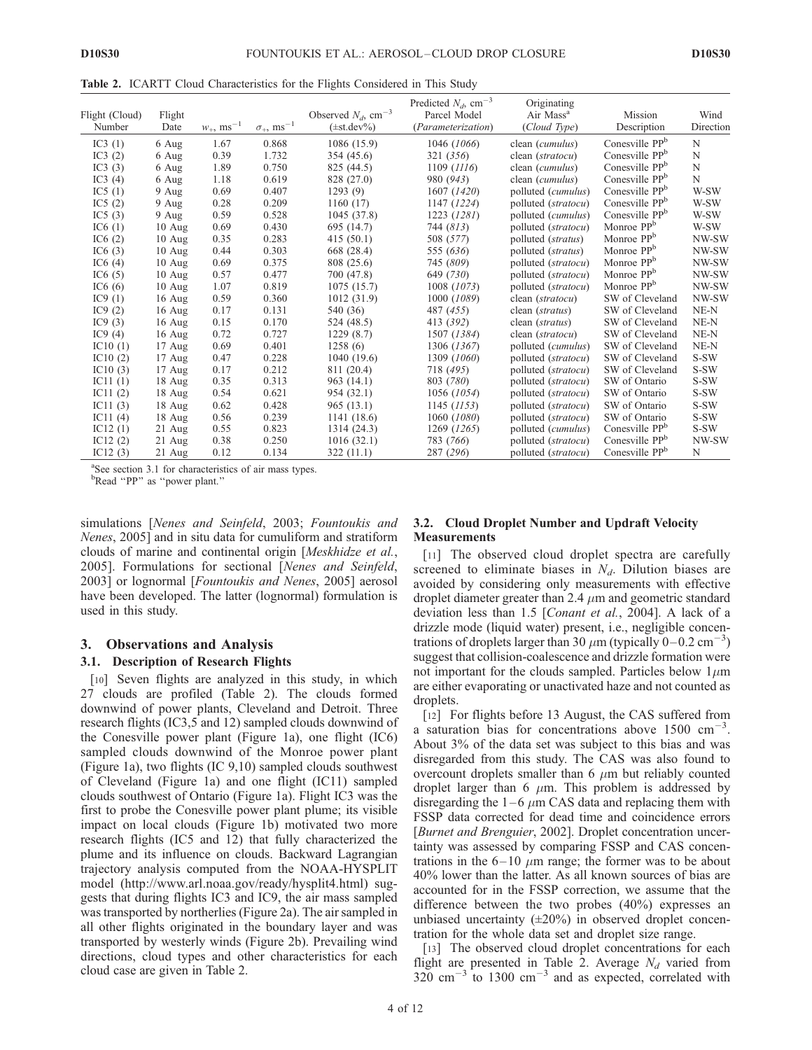Table 2. ICARTT Cloud Characteristics for the Flights Considered in This Study

| Flight (Cloud)<br>Number | Flight<br>Date   | $w_+$ , ms <sup>-1</sup> | $\sigma_{+}$ , ms <sup>-1</sup> | Observed $N_d$ , cm <sup>-3</sup><br>$(\pm st. dev\%)$ | Predicted $N_d$ , cm <sup>-3</sup><br>Parcel Model<br>(Parameterization) | Originating<br>Air Mass <sup>a</sup><br>(Cloud Type) | Mission<br>Description     | Wind<br>Direction |
|--------------------------|------------------|--------------------------|---------------------------------|--------------------------------------------------------|--------------------------------------------------------------------------|------------------------------------------------------|----------------------------|-------------------|
| IC3 $(1)$                | 6 Aug            | 1.67                     | 0.868                           | 1086 (15.9)                                            | 1046 (1066)                                                              | clean ( <i>cumulus</i> )                             | Conesville PP <sup>b</sup> | N                 |
| IC3 $(2)$                | 6 Aug            | 0.39                     | 1.732                           | 354 (45.6)                                             | 321 (356)                                                                | clean (stratocu)                                     | Conesville PP <sup>b</sup> | N                 |
| IC3 $(3)$                | 6 Aug            | 1.89                     | 0.750                           | 825 (44.5)                                             | 1109 (1116)                                                              | clean (cumulus)                                      | Conesville PP <sup>b</sup> | N                 |
| IC3 $(4)$                | 6 Aug            | 1.18                     | 0.619                           | 828 (27.0)                                             | 980 (943)                                                                | clean (cumulus)                                      | Conesville PP <sup>b</sup> | N                 |
| IC <sub>5</sub> $(1)$    | 9 Aug            | 0.69                     | 0.407                           | 1293(9)                                                | 1607 (1420)                                                              | polluted ( <i>cumulus</i> )                          | Conesville PP <sup>b</sup> | W-SW              |
| IC <sub>5</sub> $(2)$    | 9 Aug            | 0.28                     | 0.209                           | 1160(17)                                               | 1147 (1224)                                                              | polluted (stratocu)                                  | Conesville PP <sup>b</sup> | W-SW              |
| IC <sub>5</sub> $(3)$    | 9 Aug            | 0.59                     | 0.528                           | 1045 (37.8)                                            | 1223 (1281)                                                              | polluted (cumulus)                                   | Conesville PP <sup>b</sup> | W-SW              |
| IC6(1)                   | $10$ Aug         | 0.69                     | 0.430                           | 695 (14.7)                                             | 744 (813)                                                                | polluted (stratocu)                                  | Monroe PP <sup>b</sup>     | W-SW              |
| IC6(2)                   | $10$ Aug         | 0.35                     | 0.283                           | 415(50.1)                                              | 508 (577)                                                                | polluted (stratus)                                   | Monroe PP <sup>b</sup>     | NW-SW             |
| IC6(3)                   | $10$ Aug         | 0.44                     | 0.303                           | 668 (28.4)                                             | 555 (636)                                                                | polluted ( <i>stratus</i> )                          | Monroe PP <sup>b</sup>     | NW-SW             |
| IC <sub>6</sub> $(4)$    | $10 \text{ Aug}$ | 0.69                     | 0.375                           | 808 (25.6)                                             | 745 (809)                                                                | polluted (stratocu)                                  | Monroe PP <sup>b</sup>     | NW-SW             |
| IC6(5)                   | $10 \text{ Aug}$ | 0.57                     | 0.477                           | 700 (47.8)                                             | 649 (730)                                                                | polluted (stratocu)                                  | Monroe PP <sup>b</sup>     | NW-SW             |
| IC <sub>6</sub> $(6)$    | $10 \text{ Aug}$ | 1.07                     | 0.819                           | 1075(15.7)                                             | 1008 (1073)                                                              | polluted (stratocu)                                  | Monroe PP <sup>b</sup>     | NW-SW             |
| IC9(1)                   | $16$ Aug         | 0.59                     | 0.360                           | 1012 (31.9)                                            | 1000 (1089)                                                              | clean (stratocu)                                     | SW of Cleveland            | NW-SW             |
| IC9 $(2)$                | $16$ Aug         | 0.17                     | 0.131                           | 540 (36)                                               | 487 (455)                                                                | clean ( <i>stratus</i> )                             | SW of Cleveland            | $NE-N$            |
| IC <sub>9</sub> $(3)$    | $16$ Aug         | 0.15                     | 0.170                           | 524 (48.5)                                             | 413 (392)                                                                | clean (stratus)                                      | SW of Cleveland            | $NE-N$            |
| IC9 $(4)$                | $16$ Aug         | 0.72                     | 0.727                           | 1229(8.7)                                              | 1507 (1384)                                                              | clean (stratocu)                                     | SW of Cleveland            | NE-N              |
| IC <sub>10</sub> $(1)$   | $17 \text{ Aug}$ | 0.69                     | 0.401                           | 1258(6)                                                | 1306 (1367)                                                              | polluted ( <i>cumulus</i> )                          | SW of Cleveland            | NE-N              |
| IC10(2)                  | $17 \text{ Aug}$ | 0.47                     | 0.228                           | 1040(19.6)                                             | 1309 (1060)                                                              | polluted (stratocu)                                  | SW of Cleveland            | S-SW              |
| IC10(3)                  | 17 Aug           | 0.17                     | 0.212                           | 811 (20.4)                                             | 718 (495)                                                                | polluted (stratocu)                                  | SW of Cleveland            | S-SW              |
| IC <sub>11</sub> $(1)$   | 18 Aug           | 0.35                     | 0.313                           | 963 (14.1)                                             | 803 (780)                                                                | polluted (stratocu)                                  | SW of Ontario              | S-SW              |
| IC11(2)                  | 18 Aug           | 0.54                     | 0.621                           | 954 (32.1)                                             | 1056 (1054)                                                              | polluted (stratocu)                                  | SW of Ontario              | S-SW              |
| IC11(3)                  | 18 Aug           | 0.62                     | 0.428                           | 965(13.1)                                              | 1145 (1153)                                                              | polluted (stratocu)                                  | SW of Ontario              | S-SW              |
| IC11(4)                  | 18 Aug           | 0.56                     | 0.239                           | 1141 (18.6)                                            | 1060 (1080)                                                              | polluted (stratocu)                                  | SW of Ontario              | S-SW              |
| IC12(1)                  | $21$ Aug         | 0.55                     | 0.823                           | 1314 (24.3)                                            | 1269 (1265)                                                              | polluted (cumulus)                                   | Conesville PP <sup>b</sup> | S-SW              |
| IC12(2)                  | 21 Aug           | 0.38                     | 0.250                           | 1016(32.1)                                             | 783 (766)                                                                | polluted (stratocu)                                  | Conesville PP <sup>b</sup> | NW-SW             |
| IC12(3)                  | 21 Aug           | 0.12                     | 0.134                           | 322(11.1)                                              | 287 (296)                                                                | polluted (stratocu)                                  | Conesville PP <sup>b</sup> | N                 |

<sup>a</sup>See section 3.1 for characteristics of air mass types.

<sup>b</sup>Read "PP" as "power plant."

simulations [Nenes and Seinfeld, 2003; Fountoukis and Nenes, 2005] and in situ data for cumuliform and stratiform clouds of marine and continental origin [Meskhidze et al., 2005]. Formulations for sectional [Nenes and Seinfeld, 2003] or lognormal [Fountoukis and Nenes, 2005] aerosol have been developed. The latter (lognormal) formulation is used in this study.

## 3. Observations and Analysis

# 3.1. Description of Research Flights

[10] Seven flights are analyzed in this study, in which 27 clouds are profiled (Table 2). The clouds formed downwind of power plants, Cleveland and Detroit. Three research flights (IC3,5 and 12) sampled clouds downwind of the Conesville power plant (Figure 1a), one flight (IC6) sampled clouds downwind of the Monroe power plant (Figure 1a), two flights (IC 9,10) sampled clouds southwest of Cleveland (Figure 1a) and one flight (IC11) sampled clouds southwest of Ontario (Figure 1a). Flight IC3 was the first to probe the Conesville power plant plume; its visible impact on local clouds (Figure 1b) motivated two more research flights (IC5 and 12) that fully characterized the plume and its influence on clouds. Backward Lagrangian trajectory analysis computed from the NOAA-HYSPLIT model (http://www.arl.noaa.gov/ready/hysplit4.html) suggests that during flights IC3 and IC9, the air mass sampled was transported by northerlies (Figure 2a). The air sampled in all other flights originated in the boundary layer and was transported by westerly winds (Figure 2b). Prevailing wind directions, cloud types and other characteristics for each cloud case are given in Table 2.

# 3.2. Cloud Droplet Number and Updraft Velocity Measurements

[11] The observed cloud droplet spectra are carefully screened to eliminate biases in  $N_d$ . Dilution biases are avoided by considering only measurements with effective droplet diameter greater than 2.4  $\mu$ m and geometric standard deviation less than 1.5 [Conant et al., 2004]. A lack of a drizzle mode (liquid water) present, i.e., negligible concentrations of droplets larger than 30  $\mu$ m (typically 0–0.2 cm<sup>-3</sup>) suggest that collision-coalescence and drizzle formation were not important for the clouds sampled. Particles below  $1\mu$ m are either evaporating or unactivated haze and not counted as droplets.

[12] For flights before 13 August, the CAS suffered from a saturation bias for concentrations above  $1500 \text{ cm}^{-3}$ . About 3% of the data set was subject to this bias and was disregarded from this study. The CAS was also found to overcount droplets smaller than  $6 \mu m$  but reliably counted droplet larger than 6  $\mu$ m. This problem is addressed by disregarding the  $1-6 \mu m$  CAS data and replacing them with FSSP data corrected for dead time and coincidence errors [Burnet and Brenguier, 2002]. Droplet concentration uncertainty was assessed by comparing FSSP and CAS concentrations in the  $6-10 \mu m$  range; the former was to be about 40% lower than the latter. As all known sources of bias are accounted for in the FSSP correction, we assume that the difference between the two probes (40%) expresses an unbiased uncertainty  $(\pm 20\%)$  in observed droplet concentration for the whole data set and droplet size range.

[13] The observed cloud droplet concentrations for each flight are presented in Table 2. Average  $N_d$  varied from  $320 \text{ cm}^{-3}$  to 1300  $\text{cm}^{-3}$  and as expected, correlated with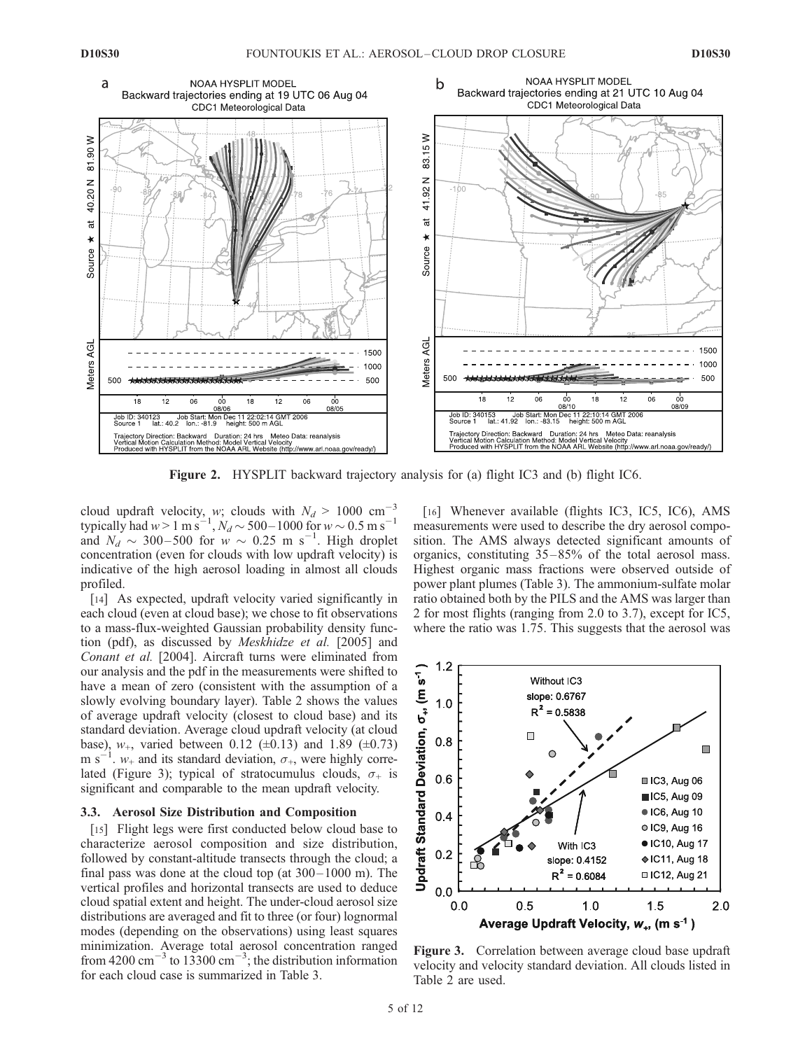

Figure 2. HYSPLIT backward trajectory analysis for (a) flight IC3 and (b) flight IC6.

cloud updraft velocity, w; clouds with  $N_d > 1000$  cm<sup>-3</sup> typically had  $w > 1 \text{ m s}^{-1}$ ,  $N_d \sim 500 - 1000$  for  $w \sim 0.5 \text{ m s}^{-1}$ and  $N_d \sim 300-500$  for  $\omega \sim 0.25$  m s<sup>-1</sup>. High droplet concentration (even for clouds with low updraft velocity) is indicative of the high aerosol loading in almost all clouds profiled.

[14] As expected, updraft velocity varied significantly in each cloud (even at cloud base); we chose to fit observations to a mass-flux-weighted Gaussian probability density function (pdf), as discussed by Meskhidze et al. [2005] and Conant et al. [2004]. Aircraft turns were eliminated from our analysis and the pdf in the measurements were shifted to have a mean of zero (consistent with the assumption of a slowly evolving boundary layer). Table 2 shows the values of average updraft velocity (closest to cloud base) and its standard deviation. Average cloud updraft velocity (at cloud base),  $w_+$ , varied between 0.12 ( $\pm$ 0.13) and 1.89 ( $\pm$ 0.73) m s<sup>-1</sup>.  $w_+$  and its standard deviation,  $\sigma_+$ , were highly correlated (Figure 3); typical of stratocumulus clouds,  $\sigma_{+}$  is significant and comparable to the mean updraft velocity.

# 3.3. Aerosol Size Distribution and Composition

[15] Flight legs were first conducted below cloud base to characterize aerosol composition and size distribution, followed by constant-altitude transects through the cloud; a final pass was done at the cloud top (at  $300-1000$  m). The vertical profiles and horizontal transects are used to deduce cloud spatial extent and height. The under-cloud aerosol size distributions are averaged and fit to three (or four) lognormal modes (depending on the observations) using least squares minimization. Average total aerosol concentration ranged from 4200 cm<sup>-3</sup> to 13300 cm<sup>-3</sup>; the distribution information for each cloud case is summarized in Table 3.

[16] Whenever available (flights IC3, IC5, IC6), AMS measurements were used to describe the dry aerosol composition. The AMS always detected significant amounts of organics, constituting 35– 85% of the total aerosol mass. Highest organic mass fractions were observed outside of power plant plumes (Table 3). The ammonium-sulfate molar ratio obtained both by the PILS and the AMS was larger than 2 for most flights (ranging from 2.0 to 3.7), except for IC5, where the ratio was 1.75. This suggests that the aerosol was



Figure 3. Correlation between average cloud base updraft velocity and velocity standard deviation. All clouds listed in Table 2 are used.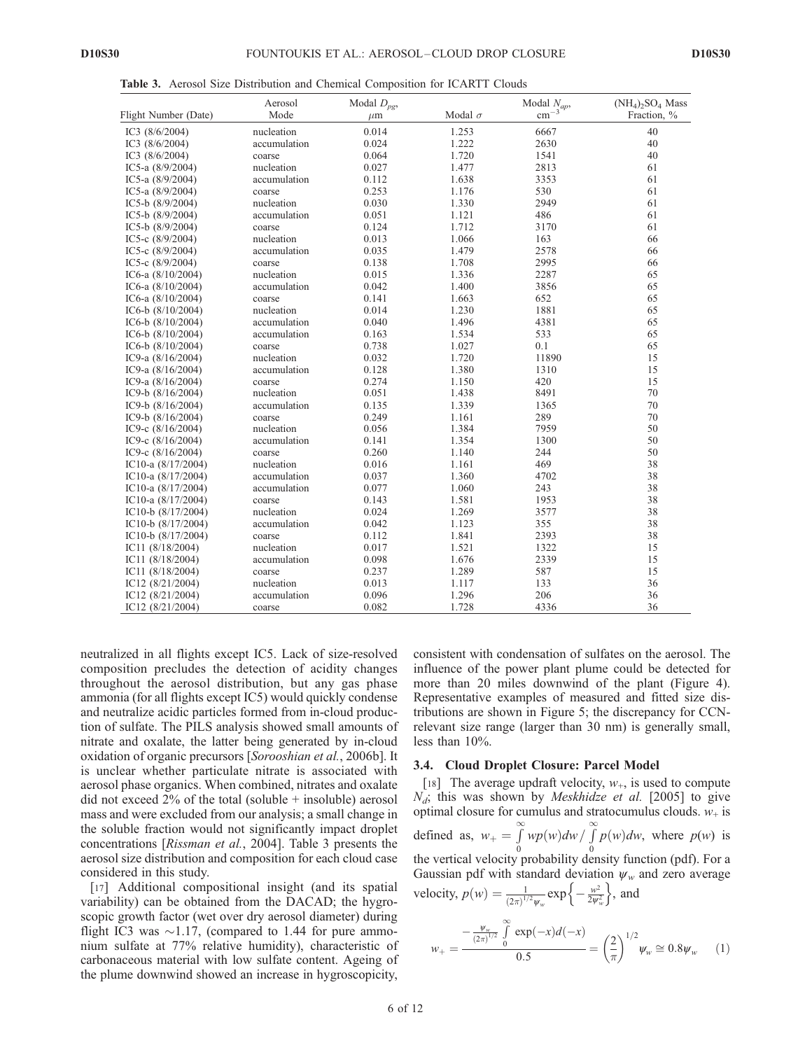|  |  | <b>Table 3.</b> Aerosol Size Distribution and Chemical Composition for ICARTT Clouds |  |  |  |  |  |  |
|--|--|--------------------------------------------------------------------------------------|--|--|--|--|--|--|
|--|--|--------------------------------------------------------------------------------------|--|--|--|--|--|--|

|                      | Aerosol      | Modal $D_{pg}$ , |                | Modal $N_{ap}$ , | $(NH4)2SO4 Mass$ |
|----------------------|--------------|------------------|----------------|------------------|------------------|
| Flight Number (Date) | Mode         | $\mu$ m          | Modal $\sigma$ | $\rm cm^{-3}$    | Fraction, %      |
| IC3 $(8/6/2004)$     | nucleation   | 0.014            | 1.253          | 6667             | 40               |
| IC3 (8/6/2004)       | accumulation | 0.024            | 1.222          | 2630             | 40               |
| IC3 (8/6/2004)       | coarse       | 0.064            | 1.720          | 1541             | 40               |
| IC5-a (8/9/2004)     | nucleation   | 0.027            | 1.477          | 2813             | 61               |
| IC5-a (8/9/2004)     | accumulation | 0.112            | 1.638          | 3353             | 61               |
| IC5-a $(8/9/2004)$   | coarse       | 0.253            | 1.176          | 530              | 61               |
| IC5-b $(8/9/2004)$   | nucleation   | 0.030            | 1.330          | 2949             | 61               |
| IC5-b $(8/9/2004)$   | accumulation | 0.051            | 1.121          | 486              | 61               |
| IC5-b $(8/9/2004)$   | coarse       | 0.124            | 1.712          | 3170             | 61               |
| IC5-c $(8/9/2004)$   | nucleation   | 0.013            | 1.066          | 163              | 66               |
| IC5-c $(8/9/2004)$   | accumulation | 0.035            | 1.479          | 2578             | 66               |
| IC5-c $(8/9/2004)$   | coarse       | 0.138            | 1.708          | 2995             | 66               |
| IC6-a $(8/10/2004)$  | nucleation   | 0.015            | 1.336          | 2287             | 65               |
| IC6-a $(8/10/2004)$  | accumulation | 0.042            | 1.400          | 3856             | 65               |
| IC6-a $(8/10/2004)$  | coarse       | 0.141            | 1.663          | 652              | 65               |
| IC6-b $(8/10/2004)$  | nucleation   | 0.014            | 1.230          | 1881             | 65               |
| IC6-b $(8/10/2004)$  | accumulation | 0.040            | 1.496          | 4381             | 65               |
| IC6-b $(8/10/2004)$  | accumulation | 0.163            | 1.534          | 533              | 65               |
| IC6-b $(8/10/2004)$  | coarse       | 0.738            | 1.027          | 0.1              | 65               |
| IC9-a (8/16/2004)    | nucleation   | 0.032            | 1.720          | 11890            | 15               |
| IC9-a (8/16/2004)    | accumulation | 0.128            | 1.380          | 1310             | 15               |
| IC9-a $(8/16/2004)$  | coarse       | 0.274            | 1.150          | 420              | 15               |
| IC9-b $(8/16/2004)$  | nucleation   | 0.051            | 1.438          | 8491             | 70               |
| IC9-b (8/16/2004)    | accumulation | 0.135            | 1.339          | 1365             | 70               |
| IC9-b (8/16/2004)    | coarse       | 0.249            | 1.161          | 289              | 70               |
| IC9-c $(8/16/2004)$  | nucleation   | 0.056            | 1.384          | 7959             | 50               |
| IC9-c $(8/16/2004)$  | accumulation | 0.141            | 1.354          | 1300             | 50               |
| IC9-c $(8/16/2004)$  | coarse       | 0.260            | 1.140          | 244              | 50               |
| IC10-a (8/17/2004)   | nucleation   | 0.016            | 1.161          | 469              | 38               |
| IC10-a $(8/17/2004)$ | accumulation | 0.037            | 1.360          | 4702             | 38               |
| IC10-a $(8/17/2004)$ | accumulation | 0.077            | 1.060          | 243              | 38               |
| IC10-a (8/17/2004)   | coarse       | 0.143            | 1.581          | 1953             | 38               |
| IC10-b $(8/17/2004)$ | nucleation   | 0.024            | 1.269          | 3577             | 38               |
| IC10-b $(8/17/2004)$ | accumulation | 0.042            | 1.123          | 355              | 38               |
| IC10-b $(8/17/2004)$ | coarse       | 0.112            | 1.841          | 2393             | 38               |
| IC11 (8/18/2004)     | nucleation   | 0.017            | 1.521          | 1322             | 15               |
| IC11 (8/18/2004)     | accumulation | 0.098            | 1.676          | 2339             | 15               |
| IC11 $(8/18/2004)$   | coarse       | 0.237            | 1.289          | 587              | 15               |
| IC12 (8/21/2004)     | nucleation   | 0.013            | 1.117          | 133              | 36               |
| IC12 (8/21/2004)     | accumulation | 0.096            | 1.296          | 206              | 36               |
| IC12 (8/21/2004)     | coarse       | 0.082            | 1.728          | 4336             | 36               |

neutralized in all flights except IC5. Lack of size-resolved composition precludes the detection of acidity changes throughout the aerosol distribution, but any gas phase ammonia (for all flights except IC5) would quickly condense and neutralize acidic particles formed from in-cloud production of sulfate. The PILS analysis showed small amounts of nitrate and oxalate, the latter being generated by in-cloud oxidation of organic precursors [Sorooshian et al., 2006b]. It is unclear whether particulate nitrate is associated with aerosol phase organics. When combined, nitrates and oxalate did not exceed  $2\%$  of the total (soluble + insoluble) aerosol mass and were excluded from our analysis; a small change in the soluble fraction would not significantly impact droplet concentrations [Rissman et al., 2004]. Table 3 presents the aerosol size distribution and composition for each cloud case considered in this study.

[17] Additional compositional insight (and its spatial variability) can be obtained from the DACAD; the hygroscopic growth factor (wet over dry aerosol diameter) during flight IC3 was  $\sim$ 1.17, (compared to 1.44 for pure ammonium sulfate at 77% relative humidity), characteristic of carbonaceous material with low sulfate content. Ageing of the plume downwind showed an increase in hygroscopicity,

consistent with condensation of sulfates on the aerosol. The influence of the power plant plume could be detected for more than 20 miles downwind of the plant (Figure 4). Representative examples of measured and fitted size distributions are shown in Figure 5; the discrepancy for CCNrelevant size range (larger than 30 nm) is generally small, less than 10%.

#### 3.4. Cloud Droplet Closure: Parcel Model

[18] The average updraft velocity,  $w_+$ , is used to compute  $N_d$ ; this was shown by *Meskhidze et al.* [2005] to give optimal closure for cumulus and stratocumulus clouds.  $w_+$  is defined as,  $w_+ = \int_0^\infty$ 0  $wp(w)dw / \int_0^\infty$  $\boldsymbol{0}$  $p(w)dw$ , where  $p(w)$  is the vertical velocity probability density function (pdf). For a Gaussian pdf with standard deviation  $\psi_w$  and zero average velocity,  $p(w) = \frac{1}{(2\pi)^{1/2} \psi_w} \exp\left\{-\frac{w^2}{2\psi_w^2}\right\}$ , and

$$
w_{+} = \frac{-\frac{\psi_{w}}{(2\pi)^{1/2}} \int_{0}^{\infty} \exp(-x) d(-x)}{0.5} = \left(\frac{2}{\pi}\right)^{1/2} \psi_{w} \approx 0.8 \psi_{w}
$$
 (1)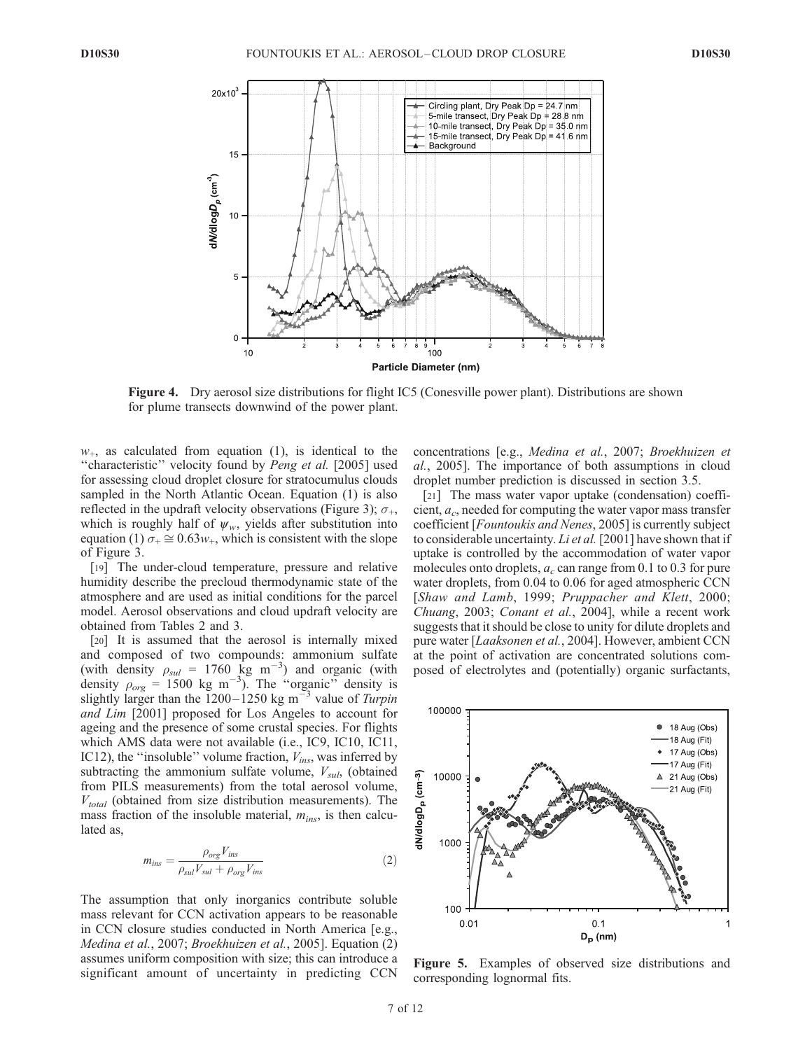

Figure 4. Dry aerosol size distributions for flight IC5 (Conesville power plant). Distributions are shown for plume transects downwind of the power plant.

 $w_{+}$ , as calculated from equation (1), is identical to the "characteristic" velocity found by Peng et al. [2005] used for assessing cloud droplet closure for stratocumulus clouds sampled in the North Atlantic Ocean. Equation (1) is also reflected in the updraft velocity observations (Figure 3);  $\sigma_{+}$ , which is roughly half of  $\psi_w$ , yields after substitution into equation (1)  $\sigma_+ \cong 0.63w_+$ , which is consistent with the slope of Figure 3.

[19] The under-cloud temperature, pressure and relative humidity describe the precloud thermodynamic state of the atmosphere and are used as initial conditions for the parcel model. Aerosol observations and cloud updraft velocity are obtained from Tables 2 and 3.

[20] It is assumed that the aerosol is internally mixed and composed of two compounds: ammonium sulfate (with density  $\rho_{sul} = 1760 \text{ kg m}^{-3}$ ) and organic (with density  $\rho_{org} = 1500 \text{ kg m}^{-3}$ ). The "organic" density is slightly larger than the  $1200 - 1250$  kg m<sup>-3</sup> value of Turpin and Lim [2001] proposed for Los Angeles to account for ageing and the presence of some crustal species. For flights which AMS data were not available (i.e., IC9, IC10, IC11, IC12), the "insoluble" volume fraction,  $V_{ins}$ , was inferred by subtracting the ammonium sulfate volume,  $V_{sul}$ , (obtained from PILS measurements) from the total aerosol volume,  $V_{total}$  (obtained from size distribution measurements). The mass fraction of the insoluble material,  $m_{ins}$ , is then calculated as,

$$
m_{ins} = \frac{\rho_{org} V_{ins}}{\rho_{sul} V_{sul} + \rho_{org} V_{ins}}
$$
(2)

The assumption that only inorganics contribute soluble mass relevant for CCN activation appears to be reasonable in CCN closure studies conducted in North America [e.g., Medina et al., 2007; Broekhuizen et al., 2005]. Equation (2) assumes uniform composition with size; this can introduce a significant amount of uncertainty in predicting CCN

concentrations [e.g., Medina et al., 2007; Broekhuizen et al., 2005]. The importance of both assumptions in cloud droplet number prediction is discussed in section 3.5.

[21] The mass water vapor uptake (condensation) coefficient,  $a_c$ , needed for computing the water vapor mass transfer coefficient [Fountoukis and Nenes, 2005] is currently subject to considerable uncertainty. Li et al. [2001] have shown that if uptake is controlled by the accommodation of water vapor molecules onto droplets,  $a_c$  can range from 0.1 to 0.3 for pure water droplets, from 0.04 to 0.06 for aged atmospheric CCN [Shaw and Lamb, 1999; Pruppacher and Klett, 2000; Chuang, 2003; Conant et al., 2004], while a recent work suggests that it should be close to unity for dilute droplets and pure water [Laaksonen et al., 2004]. However, ambient CCN at the point of activation are concentrated solutions composed of electrolytes and (potentially) organic surfactants,



Figure 5. Examples of observed size distributions and corresponding lognormal fits.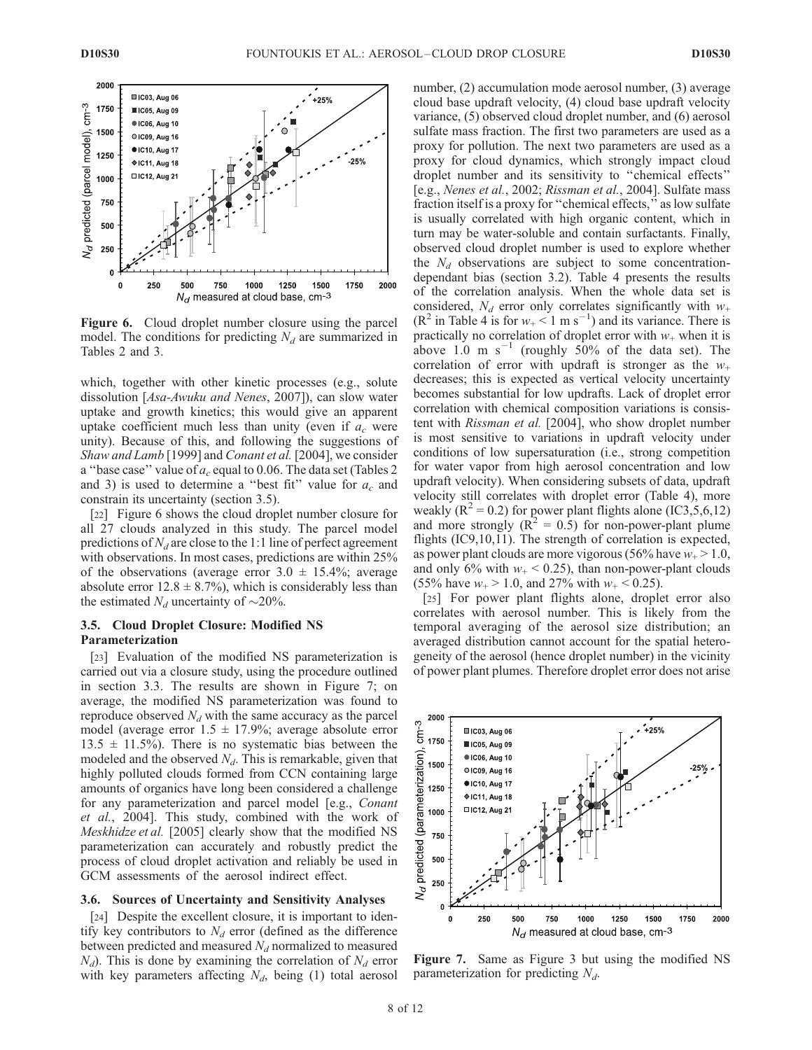

Figure 6. Cloud droplet number closure using the parcel model. The conditions for predicting  $N_d$  are summarized in Tables 2 and 3.

which, together with other kinetic processes (e.g., solute dissolution [Asa-Awuku and Nenes, 2007]), can slow water uptake and growth kinetics; this would give an apparent uptake coefficient much less than unity (even if  $a_c$  were unity). Because of this, and following the suggestions of Shaw and Lamb [1999] and Conant et al. [2004], we consider a "base case" value of  $a_c$  equal to 0.06. The data set (Tables 2 and 3) is used to determine a "best fit" value for  $a_c$  and constrain its uncertainty (section 3.5).

[22] Figure 6 shows the cloud droplet number closure for all 27 clouds analyzed in this study. The parcel model predictions of  $N_d$  are close to the 1:1 line of perfect agreement with observations. In most cases, predictions are within 25% of the observations (average error  $3.0 \pm 15.4\%$ ; average absolute error  $12.8 \pm 8.7\%$ ), which is considerably less than the estimated  $N_d$  uncertainty of  $\sim$ 20%.

# 3.5. Cloud Droplet Closure: Modified NS Parameterization

[23] Evaluation of the modified NS parameterization is carried out via a closure study, using the procedure outlined in section 3.3. The results are shown in Figure 7; on average, the modified NS parameterization was found to reproduce observed  $N_d$  with the same accuracy as the parcel model (average error  $1.5 \pm 17.9\%$ ; average absolute error  $13.5 \pm 11.5\%$ ). There is no systematic bias between the modeled and the observed  $N_d$ . This is remarkable, given that highly polluted clouds formed from CCN containing large amounts of organics have long been considered a challenge for any parameterization and parcel model [e.g., Conant et al., 2004]. This study, combined with the work of Meskhidze et al. [2005] clearly show that the modified NS parameterization can accurately and robustly predict the process of cloud droplet activation and reliably be used in GCM assessments of the aerosol indirect effect.

#### 3.6. Sources of Uncertainty and Sensitivity Analyses

[24] Despite the excellent closure, it is important to identify key contributors to  $N_d$  error (defined as the difference between predicted and measured  $N_d$  normalized to measured  $N_d$ ). This is done by examining the correlation of  $N_d$  error with key parameters affecting  $N_d$ , being (1) total aerosol number, (2) accumulation mode aerosol number, (3) average cloud base updraft velocity, (4) cloud base updraft velocity variance, (5) observed cloud droplet number, and (6) aerosol sulfate mass fraction. The first two parameters are used as a proxy for pollution. The next two parameters are used as a proxy for cloud dynamics, which strongly impact cloud droplet number and its sensitivity to ''chemical effects'' [e.g., Nenes et al., 2002; Rissman et al., 2004]. Sulfate mass fraction itself is a proxy for ''chemical effects,'' as low sulfate is usually correlated with high organic content, which in turn may be water-soluble and contain surfactants. Finally, observed cloud droplet number is used to explore whether the  $N_d$  observations are subject to some concentrationdependant bias (section 3.2). Table 4 presents the results of the correlation analysis. When the whole data set is considered,  $N_d$  error only correlates significantly with  $w_+$  $(R^2$  in Table 4 is for  $w_+ < 1$  m s<sup>-1</sup>) and its variance. There is practically no correlation of droplet error with  $w_+$  when it is above 1.0 m  $s^{-1}$  (roughly 50% of the data set). The correlation of error with updraft is stronger as the  $w_+$ decreases; this is expected as vertical velocity uncertainty becomes substantial for low updrafts. Lack of droplet error correlation with chemical composition variations is consistent with Rissman et al. [2004], who show droplet number is most sensitive to variations in updraft velocity under conditions of low supersaturation (i.e., strong competition for water vapor from high aerosol concentration and low updraft velocity). When considering subsets of data, updraft velocity still correlates with droplet error (Table 4), more weakly ( $\mathbb{R}^2 = 0.2$ ) for power plant flights alone (IC3,5,6,12) and more strongly  $(R^2 = 0.5)$  for non-power-plant plume flights (IC9,10,11). The strength of correlation is expected, as power plant clouds are more vigorous (56% have  $w_+$  > 1.0, and only 6% with  $w_+$  < 0.25), than non-power-plant clouds (55% have  $w_+ > 1.0$ , and 27% with  $w_+ < 0.25$ ).

[25] For power plant flights alone, droplet error also correlates with aerosol number. This is likely from the temporal averaging of the aerosol size distribution; an averaged distribution cannot account for the spatial heterogeneity of the aerosol (hence droplet number) in the vicinity of power plant plumes. Therefore droplet error does not arise



Figure 7. Same as Figure 3 but using the modified NS parameterization for predicting  $N_d$ .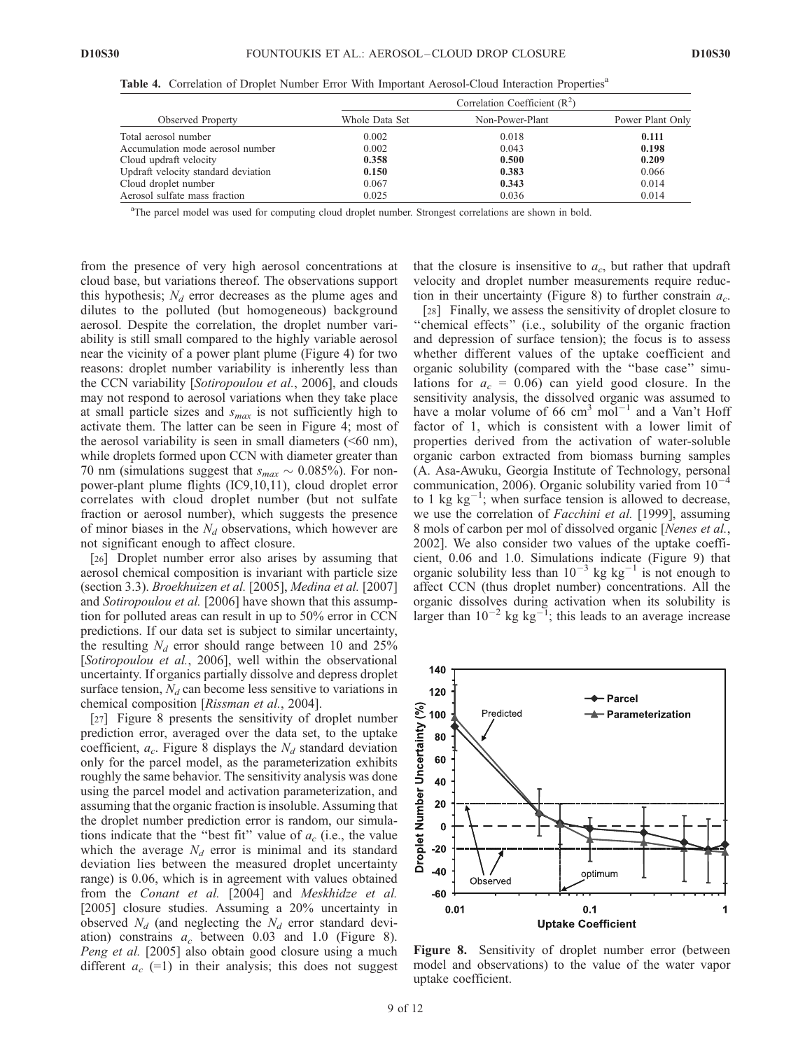|                                     | Correlation Coefficient $(R2)$ |                 |                  |  |  |  |
|-------------------------------------|--------------------------------|-----------------|------------------|--|--|--|
| Observed Property                   | Whole Data Set                 | Non-Power-Plant | Power Plant Only |  |  |  |
| Total aerosol number                | 0.002                          | 0.018           | 0.111            |  |  |  |
| Accumulation mode aerosol number    | 0.002                          | 0.043           | 0.198            |  |  |  |
| Cloud updraft velocity              | 0.358                          | 0.500           | 0.209            |  |  |  |
| Updraft velocity standard deviation | 0.150                          | 0.383           | 0.066            |  |  |  |
| Cloud droplet number                | 0.067                          | 0.343           | 0.014            |  |  |  |
| Aerosol sulfate mass fraction       | 0.025                          | 0.036           | 0.014            |  |  |  |

Table 4. Correlation of Droplet Number Error With Important Aerosol-Cloud Interaction Properties<sup>a</sup>

<sup>a</sup>The parcel model was used for computing cloud droplet number. Strongest correlations are shown in bold.

from the presence of very high aerosol concentrations at cloud base, but variations thereof. The observations support this hypothesis;  $N_d$  error decreases as the plume ages and dilutes to the polluted (but homogeneous) background aerosol. Despite the correlation, the droplet number variability is still small compared to the highly variable aerosol near the vicinity of a power plant plume (Figure 4) for two reasons: droplet number variability is inherently less than the CCN variability [Sotiropoulou et al., 2006], and clouds may not respond to aerosol variations when they take place at small particle sizes and  $s_{max}$  is not sufficiently high to activate them. The latter can be seen in Figure 4; most of the aerosol variability is seen in small diameters  $( $60 \text{ nm}$ ),$ while droplets formed upon CCN with diameter greater than 70 nm (simulations suggest that  $s_{max} \sim 0.085\%$ ). For nonpower-plant plume flights (IC9,10,11), cloud droplet error correlates with cloud droplet number (but not sulfate fraction or aerosol number), which suggests the presence of minor biases in the  $N_d$  observations, which however are not significant enough to affect closure.

[26] Droplet number error also arises by assuming that aerosol chemical composition is invariant with particle size (section 3.3). Broekhuizen et al. [2005], Medina et al. [2007] and Sotiropoulou et al. [2006] have shown that this assumption for polluted areas can result in up to 50% error in CCN predictions. If our data set is subject to similar uncertainty, the resulting  $N_d$  error should range between 10 and 25% [Sotiropoulou et al., 2006], well within the observational uncertainty. If organics partially dissolve and depress droplet surface tension,  $N_d$  can become less sensitive to variations in chemical composition [Rissman et al., 2004].

[27] Figure 8 presents the sensitivity of droplet number prediction error, averaged over the data set, to the uptake coefficient,  $a_c$ . Figure 8 displays the  $N_d$  standard deviation only for the parcel model, as the parameterization exhibits roughly the same behavior. The sensitivity analysis was done using the parcel model and activation parameterization, and assuming that the organic fraction is insoluble. Assuming that the droplet number prediction error is random, our simulations indicate that the "best fit" value of  $a_c$  (i.e., the value which the average  $N_d$  error is minimal and its standard deviation lies between the measured droplet uncertainty range) is 0.06, which is in agreement with values obtained from the Conant et al. [2004] and Meskhidze et al. [2005] closure studies. Assuming a 20% uncertainty in observed  $N_d$  (and neglecting the  $N_d$  error standard deviation) constrains  $a_c$  between 0.03 and 1.0 (Figure 8). Peng et al. [2005] also obtain good closure using a much different  $a_c$  (=1) in their analysis; this does not suggest that the closure is insensitive to  $a_c$ , but rather that updraft velocity and droplet number measurements require reduction in their uncertainty (Figure 8) to further constrain  $a_c$ .

[28] Finally, we assess the sensitivity of droplet closure to "chemical effects" (i.e., solubility of the organic fraction and depression of surface tension); the focus is to assess whether different values of the uptake coefficient and organic solubility (compared with the ''base case'' simulations for  $a_c = 0.06$ ) can yield good closure. In the sensitivity analysis, the dissolved organic was assumed to have a molar volume of 66  $\text{cm}^3$  mol<sup>-1</sup> and a Van't Hoff factor of 1, which is consistent with a lower limit of properties derived from the activation of water-soluble organic carbon extracted from biomass burning samples (A. Asa-Awuku, Georgia Institute of Technology, personal communication, 2006). Organic solubility varied from  $10^{-4}$ to 1 kg  $kg^{-1}$ ; when surface tension is allowed to decrease, we use the correlation of *Facchini et al.* [1999], assuming 8 mols of carbon per mol of dissolved organic [Nenes et al., 2002]. We also consider two values of the uptake coefficient, 0.06 and 1.0. Simulations indicate (Figure 9) that organic solubility less than  $10^{-3}$  kg kg<sup>-1</sup> is not enough to affect CCN (thus droplet number) concentrations. All the organic dissolves during activation when its solubility is larger than  $10^{-2}$  kg kg<sup>-1</sup>; this leads to an average increase



Figure 8. Sensitivity of droplet number error (between model and observations) to the value of the water vapor uptake coefficient.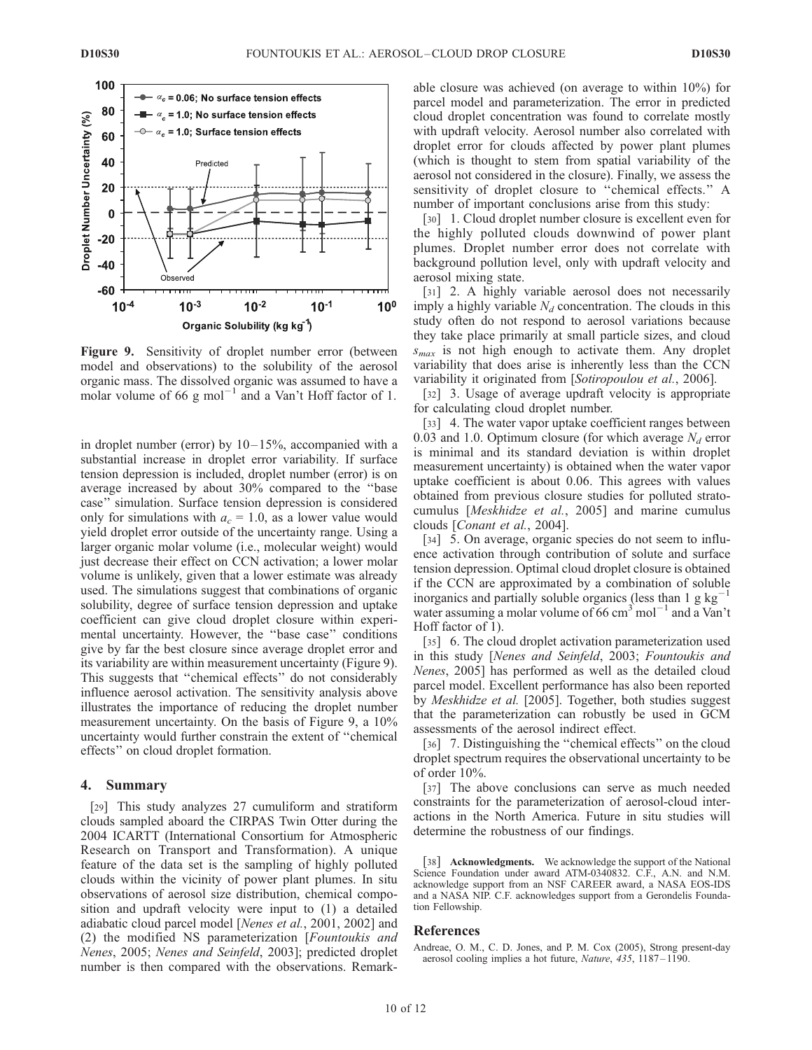

Figure 9. Sensitivity of droplet number error (between model and observations) to the solubility of the aerosol organic mass. The dissolved organic was assumed to have a molar volume of 66  $g$  mol<sup>-1</sup> and a Van't Hoff factor of 1.

in droplet number (error) by  $10-15%$ , accompanied with a substantial increase in droplet error variability. If surface tension depression is included, droplet number (error) is on average increased by about 30% compared to the ''base case'' simulation. Surface tension depression is considered only for simulations with  $a_c = 1.0$ , as a lower value would yield droplet error outside of the uncertainty range. Using a larger organic molar volume (i.e., molecular weight) would just decrease their effect on CCN activation; a lower molar volume is unlikely, given that a lower estimate was already used. The simulations suggest that combinations of organic solubility, degree of surface tension depression and uptake coefficient can give cloud droplet closure within experimental uncertainty. However, the ''base case'' conditions give by far the best closure since average droplet error and its variability are within measurement uncertainty (Figure 9). This suggests that ''chemical effects'' do not considerably influence aerosol activation. The sensitivity analysis above illustrates the importance of reducing the droplet number measurement uncertainty. On the basis of Figure 9, a 10% uncertainty would further constrain the extent of ''chemical effects'' on cloud droplet formation.

# 4. Summary

[29] This study analyzes 27 cumuliform and stratiform clouds sampled aboard the CIRPAS Twin Otter during the 2004 ICARTT (International Consortium for Atmospheric Research on Transport and Transformation). A unique feature of the data set is the sampling of highly polluted clouds within the vicinity of power plant plumes. In situ observations of aerosol size distribution, chemical composition and updraft velocity were input to (1) a detailed adiabatic cloud parcel model [Nenes et al., 2001, 2002] and (2) the modified NS parameterization [Fountoukis and Nenes, 2005; Nenes and Seinfeld, 2003]; predicted droplet number is then compared with the observations. Remarkable closure was achieved (on average to within 10%) for parcel model and parameterization. The error in predicted cloud droplet concentration was found to correlate mostly with updraft velocity. Aerosol number also correlated with droplet error for clouds affected by power plant plumes (which is thought to stem from spatial variability of the aerosol not considered in the closure). Finally, we assess the sensitivity of droplet closure to ''chemical effects.'' A number of important conclusions arise from this study:

[30] 1. Cloud droplet number closure is excellent even for the highly polluted clouds downwind of power plant plumes. Droplet number error does not correlate with background pollution level, only with updraft velocity and aerosol mixing state.

[31] 2. A highly variable aerosol does not necessarily imply a highly variable  $N_d$  concentration. The clouds in this study often do not respond to aerosol variations because they take place primarily at small particle sizes, and cloud  $s_{max}$  is not high enough to activate them. Any droplet variability that does arise is inherently less than the CCN variability it originated from [Sotiropoulou et al., 2006].

[32] 3. Usage of average updraft velocity is appropriate for calculating cloud droplet number.

[33] 4. The water vapor uptake coefficient ranges between 0.03 and 1.0. Optimum closure (for which average  $N_d$  error is minimal and its standard deviation is within droplet measurement uncertainty) is obtained when the water vapor uptake coefficient is about 0.06. This agrees with values obtained from previous closure studies for polluted stratocumulus [Meskhidze et al., 2005] and marine cumulus clouds [Conant et al., 2004].

[34] 5. On average, organic species do not seem to influence activation through contribution of solute and surface tension depression. Optimal cloud droplet closure is obtained if the CCN are approximated by a combination of soluble inorganics and partially soluble organics (less than 1 g  $kg^{-1}$ water assuming a molar volume of 66 cm<sup>3</sup> mol<sup>-1</sup> and a Van't Hoff factor of 1).

[35] 6. The cloud droplet activation parameterization used in this study [Nenes and Seinfeld, 2003; Fountoukis and Nenes, 2005] has performed as well as the detailed cloud parcel model. Excellent performance has also been reported by Meskhidze et al. [2005]. Together, both studies suggest that the parameterization can robustly be used in GCM assessments of the aerosol indirect effect.

[36] 7. Distinguishing the "chemical effects" on the cloud droplet spectrum requires the observational uncertainty to be of order 10%.

[37] The above conclusions can serve as much needed constraints for the parameterization of aerosol-cloud interactions in the North America. Future in situ studies will determine the robustness of our findings.

[38] Acknowledgments. We acknowledge the support of the National Science Foundation under award ATM-0340832. C.F., A.N. and N.M. acknowledge support from an NSF CAREER award, a NASA EOS-IDS and a NASA NIP. C.F. acknowledges support from a Gerondelis Foundation Fellowship.

# References

Andreae, O. M., C. D. Jones, and P. M. Cox (2005), Strong present-day aerosol cooling implies a hot future, Nature, 435, 1187 – 1190.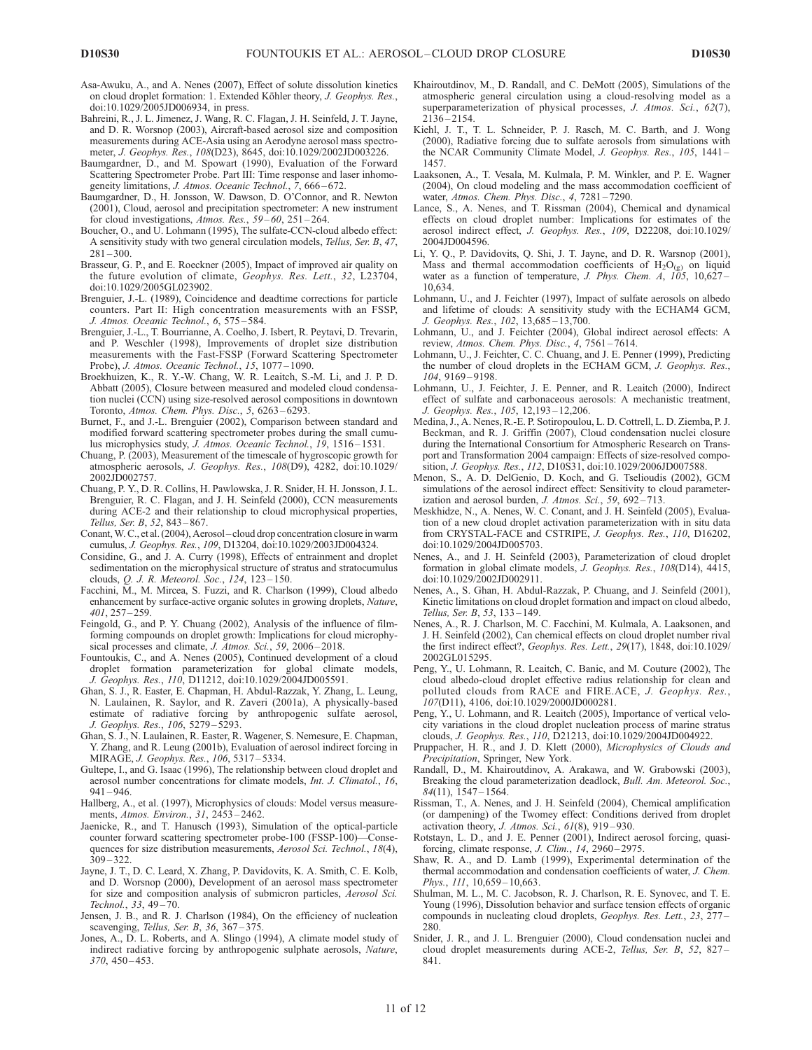- Asa-Awuku, A., and A. Nenes (2007), Effect of solute dissolution kinetics on cloud droplet formation: 1. Extended Köhler theory, *J. Geophys. Res.*, doi:10.1029/2005JD006934, in press.
- Bahreini, R., J. L. Jimenez, J. Wang, R. C. Flagan, J. H. Seinfeld, J. T. Jayne, and D. R. Worsnop (2003), Aircraft-based aerosol size and composition measurements during ACE-Asia using an Aerodyne aerosol mass spectrometer, J. Geophys. Res., 108(D23), 8645, doi:10.1029/2002JD003226.
- Baumgardner, D., and M. Spowart (1990), Evaluation of the Forward Scattering Spectrometer Probe. Part III: Time response and laser inhomogeneity limitations, J. Atmos. Oceanic Technol., 7, 666-672.
- Baumgardner, D., H. Jonsson, W. Dawson, D. O'Connor, and R. Newton (2001), Cloud, aerosol and precipitation spectrometer: A new instrument for cloud investigations, Atmos. Res., 59-60, 251-264.
- Boucher, O., and U. Lohmann (1995), The sulfate-CCN-cloud albedo effect: A sensitivity study with two general circulation models, Tellus, Ser. B, 47,  $281 - 300$
- Brasseur, G. P., and E. Roeckner (2005), Impact of improved air quality on the future evolution of climate, Geophys. Res. Lett., 32, L23704, doi:10.1029/2005GL023902.
- Brenguier, J.-L. (1989), Coincidence and deadtime corrections for particle counters. Part II: High concentration measurements with an FSSP, J. Atmos. Oceanic Technol., 6, 575 – 584.
- Brenguier, J.-L., T. Bourrianne, A. Coelho, J. Isbert, R. Peytavi, D. Trevarin, and P. Weschler (1998), Improvements of droplet size distribution measurements with the Fast-FSSP (Forward Scattering Spectrometer Probe), J. Atmos. Oceanic Technol., 15, 1077 – 1090.
- Broekhuizen, K., R. Y.-W. Chang, W. R. Leaitch, S.-M. Li, and J. P. D. Abbatt (2005), Closure between measured and modeled cloud condensation nuclei (CCN) using size-resolved aerosol compositions in downtown Toronto, Atmos. Chem. Phys. Disc., 5, 6263 – 6293.
- Burnet, F., and J.-L. Brenguier (2002), Comparison between standard and modified forward scattering spectrometer probes during the small cumulus microphysics study, J. Atmos. Oceanic Technol., 19, 1516-1531.
- Chuang, P. (2003), Measurement of the timescale of hygroscopic growth for atmospheric aerosols, J. Geophys. Res., 108(D9), 4282, doi:10.1029/ 2002JD002757.
- Chuang, P. Y., D. R. Collins, H. Pawlowska, J. R. Snider, H. H. Jonsson, J. L. Brenguier, R. C. Flagan, and J. H. Seinfeld (2000), CCN measurements during ACE-2 and their relationship to cloud microphysical properties, Tellus, Ser. B, 52, 843 – 867.
- Conant,W. C., et al. (2004), Aerosol cloud drop concentration closure in warm cumulus, J. Geophys. Res., 109, D13204, doi:10.1029/2003JD004324.
- Considine, G., and J. A. Curry (1998), Effects of entrainment and droplet sedimentation on the microphysical structure of stratus and stratocumulus clouds, Q. J. R. Meteorol. Soc., 124, 123 – 150.
- Facchini, M., M. Mircea, S. Fuzzi, and R. Charlson (1999), Cloud albedo enhancement by surface-active organic solutes in growing droplets, Nature, 401, 257 – 259.
- Feingold, G., and P. Y. Chuang (2002), Analysis of the influence of filmforming compounds on droplet growth: Implications for cloud microphysical processes and climate, J. Atmos. Sci., 59, 2006-2018.
- Fountoukis, C., and A. Nenes (2005), Continued development of a cloud droplet formation parameterization for global climate models, J. Geophys. Res., 110, D11212, doi:10.1029/2004JD005591.
- Ghan, S. J., R. Easter, E. Chapman, H. Abdul-Razzak, Y. Zhang, L. Leung, N. Laulainen, R. Saylor, and R. Zaveri (2001a), A physically-based estimate of radiative forcing by anthropogenic sulfate aerosol, J. Geophys. Res., 106, 5279 – 5293.
- Ghan, S. J., N. Laulainen, R. Easter, R. Wagener, S. Nemesure, E. Chapman, Y. Zhang, and R. Leung (2001b), Evaluation of aerosol indirect forcing in MIRAGE, J. Geophys. Res., 106, 5317 – 5334.
- Gultepe, I., and G. Isaac (1996), The relationship between cloud droplet and aerosol number concentrations for climate models, Int. J. Climatol., 16,  $941 - 946$
- Hallberg, A., et al. (1997), Microphysics of clouds: Model versus measurements, Atmos. Environ., 31, 2453 – 2462.
- Jaenicke, R., and T. Hanusch (1993), Simulation of the optical-particle counter forward scattering spectrometer probe-100 (FSSP-100)—Consequences for size distribution measurements, Aerosol Sci. Technol., 18(4),  $309 - 322$
- Jayne, J. T., D. C. Leard, X. Zhang, P. Davidovits, K. A. Smith, C. E. Kolb, and D. Worsnop (2000), Development of an aerosol mass spectrometer for size and composition analysis of submicron particles, Aerosol Sci. Technol., 33, 49 – 70.
- Jensen, J. B., and R. J. Charlson (1984), On the efficiency of nucleation scavenging, Tellus, Ser. B, 36, 367-375.
- Jones, A., D. L. Roberts, and A. Slingo (1994), A climate model study of indirect radiative forcing by anthropogenic sulphate aerosols, Nature, 370, 450 – 453.
- Khairoutdinov, M., D. Randall, and C. DeMott (2005), Simulations of the atmospheric general circulation using a cloud-resolving model as a superparameterization of physical processes, J. Atmos. Sci., 62(7), 2136 – 2154.
- Kiehl, J. T., T. L. Schneider, P. J. Rasch, M. C. Barth, and J. Wong (2000), Radiative forcing due to sulfate aerosols from simulations with the NCAR Community Climate Model, J. Geophys. Res., 105, 1441 – 1457.
- Laaksonen, A., T. Vesala, M. Kulmala, P. M. Winkler, and P. E. Wagner (2004), On cloud modeling and the mass accommodation coefficient of water, Atmos. Chem. Phys. Disc., 4, 7281 – 7290.
- Lance, S., A. Nenes, and T. Rissman (2004), Chemical and dynamical effects on cloud droplet number: Implications for estimates of the aerosol indirect effect, J. Geophys. Res., 109, D22208, doi:10.1029/ 2004JD004596.
- Li, Y. Q., P. Davidovits, Q. Shi, J. T. Jayne, and D. R. Warsnop (2001), Mass and thermal accommodation coefficients of  $H_2O_{(g)}$  on liquid water as a function of temperature, J. Phys. Chem.  $\ddot{A}$ ,  $\ddot{105}$ , 10,627-10,634.
- Lohmann, U., and J. Feichter (1997), Impact of sulfate aerosols on albedo and lifetime of clouds: A sensitivity study with the ECHAM4 GCM, J. Geophys. Res., 102, 13,685 – 13,700.
- Lohmann, U., and J. Feichter (2004), Global indirect aerosol effects: A review, Atmos. Chem. Phys. Disc., 4, 7561 – 7614.
- Lohmann, U., J. Feichter, C. C. Chuang, and J. E. Penner (1999), Predicting the number of cloud droplets in the ECHAM GCM, J. Geophys. Res., 104, 9169 – 9198.
- Lohmann, U., J. Feichter, J. E. Penner, and R. Leaitch (2000), Indirect effect of sulfate and carbonaceous aerosols: A mechanistic treatment, J. Geophys. Res., 105, 12,193 – 12,206.
- Medina, J., A. Nenes, R.-E. P. Sotiropoulou, L. D. Cottrell, L. D. Ziemba, P. J. Beckman, and R. J. Griffin (2007), Cloud condensation nuclei closure during the International Consortium for Atmospheric Research on Transport and Transformation 2004 campaign: Effects of size-resolved composition, J. Geophys. Res., 112, D10S31, doi:10.1029/2006JD007588.
- Menon, S., A. D. DelGenio, D. Koch, and G. Tselioudis (2002), GCM simulations of the aerosol indirect effect: Sensitivity to cloud parameterization and aerosol burden, J. Atmos. Sci., 59,  $692 - 713$ .
- Meskhidze, N., A. Nenes, W. C. Conant, and J. H. Seinfeld (2005), Evaluation of a new cloud droplet activation parameterization with in situ data from CRYSTAL-FACE and CSTRIPE, J. Geophys. Res., 110, D16202, doi:10.1029/2004JD005703.
- Nenes, A., and J. H. Seinfeld (2003), Parameterization of cloud droplet formation in global climate models, J. Geophys. Res., 108(D14), 4415, doi:10.1029/2002JD002911.
- Nenes, A., S. Ghan, H. Abdul-Razzak, P. Chuang, and J. Seinfeld (2001), Kinetic limitations on cloud droplet formation and impact on cloud albedo, Tellus, Ser. B, 53, 133 – 149.
- Nenes, A., R. J. Charlson, M. C. Facchini, M. Kulmala, A. Laaksonen, and J. H. Seinfeld (2002), Can chemical effects on cloud droplet number rival the first indirect effect?, Geophys. Res. Lett., 29(17), 1848, doi:10.1029/ 2002GL015295.
- Peng, Y., U. Lohmann, R. Leaitch, C. Banic, and M. Couture (2002), The cloud albedo-cloud droplet effective radius relationship for clean and polluted clouds from RACE and FIRE.ACE, J. Geophys. Res., 107(D11), 4106, doi:10.1029/2000JD000281.
- Peng, Y., U. Lohmann, and R. Leaitch (2005), Importance of vertical velocity variations in the cloud droplet nucleation process of marine stratus clouds, J. Geophys. Res., 110, D21213, doi:10.1029/2004JD004922.
- Pruppacher, H. R., and J. D. Klett (2000), Microphysics of Clouds and Precipitation, Springer, New York.
- Randall, D., M. Khairoutdinov, A. Arakawa, and W. Grabowski (2003), Breaking the cloud parameterization deadlock, *Bull. Am. Meteorol. Soc.*,  $84(11)$ , 1547 – 1564.
- Rissman, T., A. Nenes, and J. H. Seinfeld (2004), Chemical amplification (or dampening) of the Twomey effect: Conditions derived from droplet activation theory, J. Atmos. Sci., 61(8), 919 – 930.
- Rotstayn, L. D., and J. E. Penner (2001), Indirect aerosol forcing, quasiforcing, climate response, J. Clim., 14, 2960-2975.
- Shaw, R. A., and D. Lamb (1999), Experimental determination of the thermal accommodation and condensation coefficients of water, J. Chem. Phys., 111, 10,659 - 10,663.
- Shulman, M. L., M. C. Jacobson, R. J. Charlson, R. E. Synovec, and T. E. Young (1996), Dissolution behavior and surface tension effects of organic compounds in nucleating cloud droplets, Geophys. Res. Lett., 23, 277-280.
- Snider, J. R., and J. L. Brenguier (2000), Cloud condensation nuclei and cloud droplet measurements during ACE-2, Tellus, Ser. B, 52, 827-841.